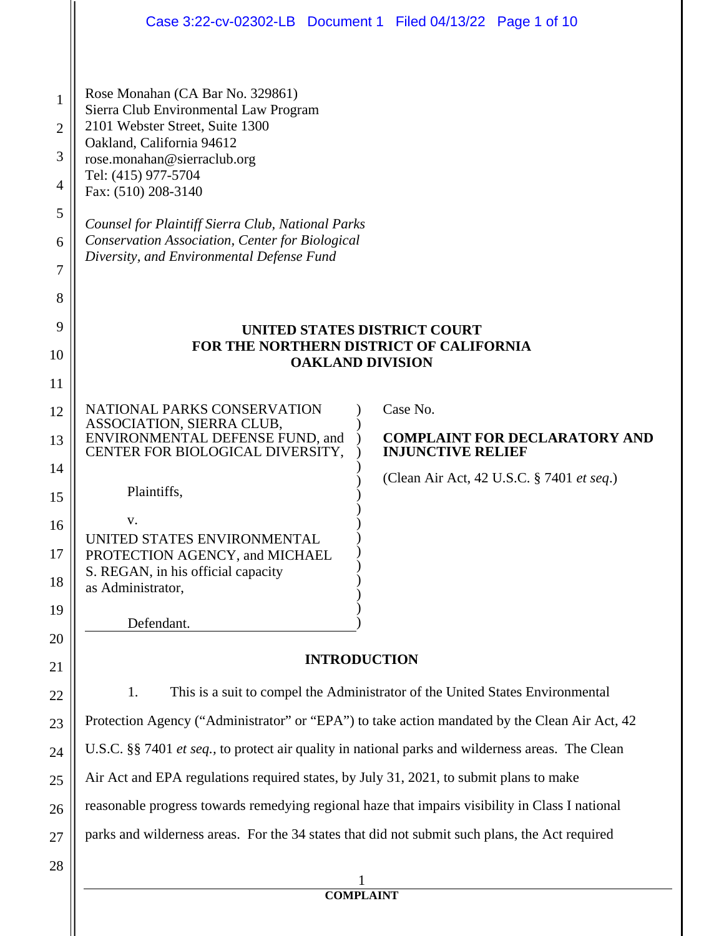|                                              | Case 3:22-cv-02302-LB  Document 1  Filed 04/13/22  Page 1 of 10                                                                                                                                                                                                                                                                                                                                                             |
|----------------------------------------------|-----------------------------------------------------------------------------------------------------------------------------------------------------------------------------------------------------------------------------------------------------------------------------------------------------------------------------------------------------------------------------------------------------------------------------|
| 1<br>2<br>3<br>4<br>5<br>6<br>7              | Rose Monahan (CA Bar No. 329861)<br>Sierra Club Environmental Law Program<br>2101 Webster Street, Suite 1300<br>Oakland, California 94612<br>rose.monahan@sierraclub.org<br>Tel: (415) 977-5704<br>Fax: (510) 208-3140<br>Counsel for Plaintiff Sierra Club, National Parks<br>Conservation Association, Center for Biological<br>Diversity, and Environmental Defense Fund                                                 |
| 8<br>9<br>10<br>11                           | UNITED STATES DISTRICT COURT<br>FOR THE NORTHERN DISTRICT OF CALIFORNIA<br><b>OAKLAND DIVISION</b>                                                                                                                                                                                                                                                                                                                          |
| 12<br>13<br>14<br>15<br>16<br>17<br>18<br>19 | Case No.<br>NATIONAL PARKS CONSERVATION<br>ASSOCIATION, SIERRA CLUB,<br>ENVIRONMENTAL DEFENSE FUND, and<br><b>COMPLAINT FOR DECLARATORY AND</b><br>CENTER FOR BIOLOGICAL DIVERSITY,<br><b>INJUNCTIVE RELIEF</b><br>(Clean Air Act, 42 U.S.C. § 7401 et seq.)<br>Plaintiffs,<br>v.<br>UNITED STATES ENVIRONMENTAL<br>PROTECTION AGENCY, and MICHAEL<br>S. REGAN, in his official capacity<br>as Administrator,<br>Defendant. |
| 20                                           | <b>INTRODUCTION</b>                                                                                                                                                                                                                                                                                                                                                                                                         |
| 21<br>22                                     | This is a suit to compel the Administrator of the United States Environmental<br>1.                                                                                                                                                                                                                                                                                                                                         |
| 23                                           | Protection Agency ("Administrator" or "EPA") to take action mandated by the Clean Air Act, 42                                                                                                                                                                                                                                                                                                                               |
| 24                                           | U.S.C. §§ 7401 et seq., to protect air quality in national parks and wilderness areas. The Clean                                                                                                                                                                                                                                                                                                                            |
| 25                                           | Air Act and EPA regulations required states, by July 31, 2021, to submit plans to make                                                                                                                                                                                                                                                                                                                                      |
| 26                                           | reasonable progress towards remedying regional haze that impairs visibility in Class I national                                                                                                                                                                                                                                                                                                                             |
| 27                                           | parks and wilderness areas. For the 34 states that did not submit such plans, the Act required                                                                                                                                                                                                                                                                                                                              |
| 28                                           |                                                                                                                                                                                                                                                                                                                                                                                                                             |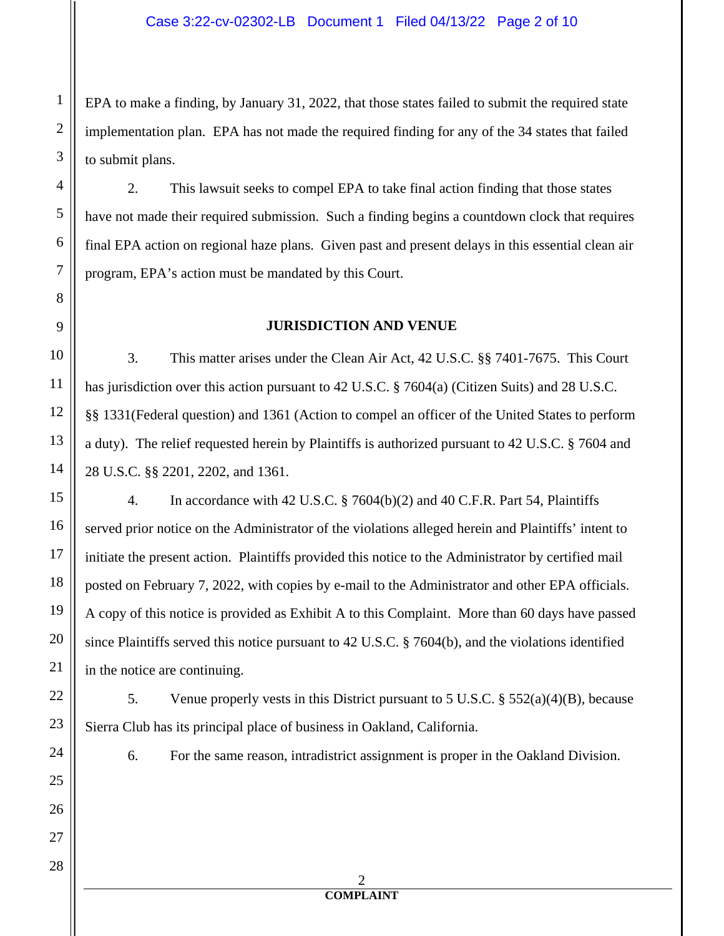EPA to make a finding, by January 31, 2022, that those states failed to submit the required state implementation plan. EPA has not made the required finding for any of the 34 states that failed to submit plans.

2. This lawsuit seeks to compel EPA to take final action finding that those states have not made their required submission. Such a finding begins a countdown clock that requires final EPA action on regional haze plans. Given past and present delays in this essential clean air program, EPA's action must be mandated by this Court.

## **JURISDICTION AND VENUE**

3. This matter arises under the Clean Air Act, 42 U.S.C. §§ 7401-7675. This Court has jurisdiction over this action pursuant to 42 U.S.C. § 7604(a) (Citizen Suits) and 28 U.S.C. §§ 1331(Federal question) and 1361 (Action to compel an officer of the United States to perform a duty). The relief requested herein by Plaintiffs is authorized pursuant to 42 U.S.C. § 7604 and 28 U.S.C. §§ 2201, 2202, and 1361.

4. In accordance with 42 U.S.C. § 7604(b)(2) and 40 C.F.R. Part 54, Plaintiffs served prior notice on the Administrator of the violations alleged herein and Plaintiffs' intent to initiate the present action. Plaintiffs provided this notice to the Administrator by certified mail posted on February 7, 2022, with copies by e-mail to the Administrator and other EPA officials. A copy of this notice is provided as Exhibit A to this Complaint. More than 60 days have passed since Plaintiffs served this notice pursuant to 42 U.S.C. § 7604(b), and the violations identified in the notice are continuing.

5. Venue properly vests in this District pursuant to 5 U.S.C. § 552(a)(4)(B), because Sierra Club has its principal place of business in Oakland, California.

6. For the same reason, intradistrict assignment is proper in the Oakland Division.

1

2

3

4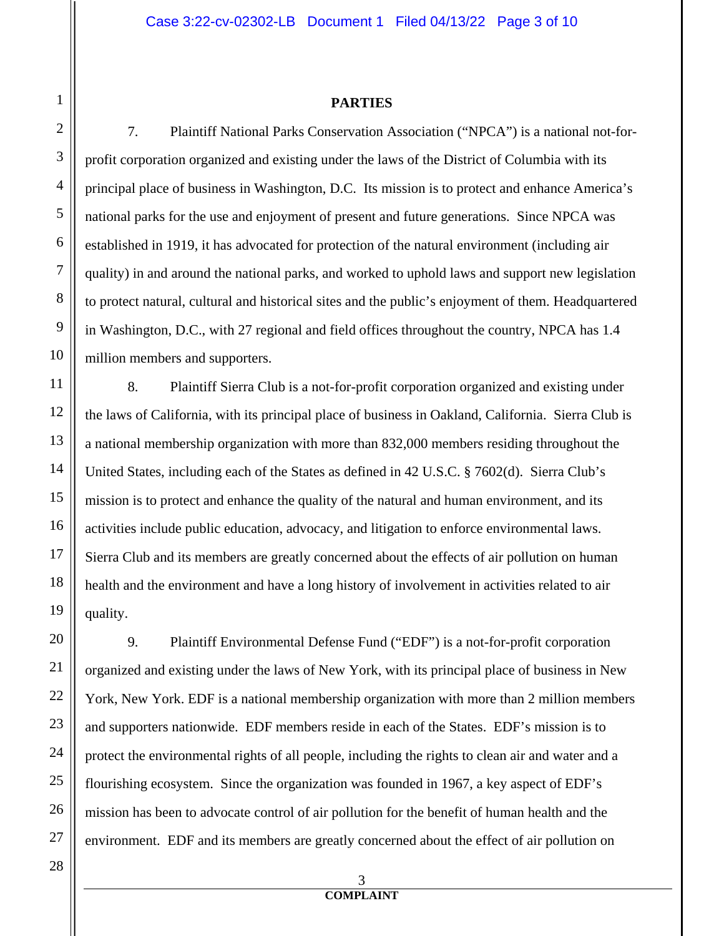#### **PARTIES**

7. Plaintiff National Parks Conservation Association ("NPCA") is a national not-forprofit corporation organized and existing under the laws of the District of Columbia with its principal place of business in Washington, D.C. Its mission is to protect and enhance America's national parks for the use and enjoyment of present and future generations. Since NPCA was established in 1919, it has advocated for protection of the natural environment (including air quality) in and around the national parks, and worked to uphold laws and support new legislation to protect natural, cultural and historical sites and the public's enjoyment of them. Headquartered in Washington, D.C., with 27 regional and field offices throughout the country, NPCA has 1.4 million members and supporters.

8. Plaintiff Sierra Club is a not-for-profit corporation organized and existing under the laws of California, with its principal place of business in Oakland, California. Sierra Club is a national membership organization with more than 832,000 members residing throughout the United States, including each of the States as defined in 42 U.S.C. § 7602(d). Sierra Club's mission is to protect and enhance the quality of the natural and human environment, and its activities include public education, advocacy, and litigation to enforce environmental laws. Sierra Club and its members are greatly concerned about the effects of air pollution on human health and the environment and have a long history of involvement in activities related to air quality.

9. Plaintiff Environmental Defense Fund ("EDF") is a not-for-profit corporation organized and existing under the laws of New York, with its principal place of business in New York, New York. EDF is a national membership organization with more than 2 million members and supporters nationwide. EDF members reside in each of the States. EDF's mission is to protect the environmental rights of all people, including the rights to clean air and water and a flourishing ecosystem. Since the organization was founded in 1967, a key aspect of EDF's mission has been to advocate control of air pollution for the benefit of human health and the environment. EDF and its members are greatly concerned about the effect of air pollution on

> 3 **COMPLAINT**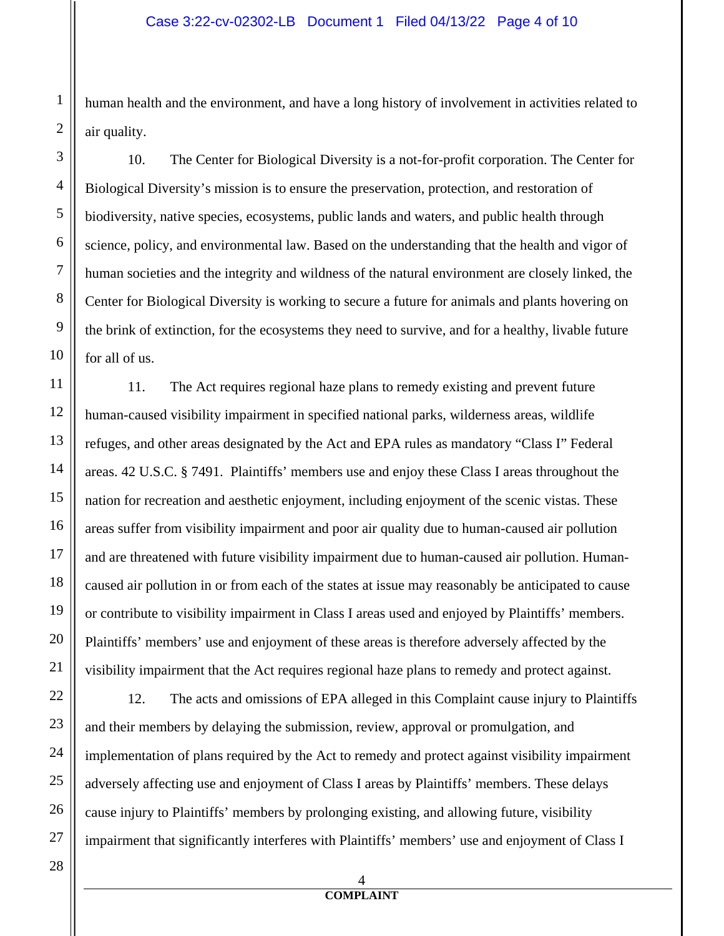human health and the environment, and have a long history of involvement in activities related to air quality.

10. The Center for Biological Diversity is a not-for-profit corporation. The Center for Biological Diversity's mission is to ensure the preservation, protection, and restoration of biodiversity, native species, ecosystems, public lands and waters, and public health through science, policy, and environmental law. Based on the understanding that the health and vigor of human societies and the integrity and wildness of the natural environment are closely linked, the Center for Biological Diversity is working to secure a future for animals and plants hovering on the brink of extinction, for the ecosystems they need to survive, and for a healthy, livable future for all of us.

11 12 13 14 15 16 17 18 19 20 21 11. The Act requires regional haze plans to remedy existing and prevent future human-caused visibility impairment in specified national parks, wilderness areas, wildlife refuges, and other areas designated by the Act and EPA rules as mandatory "Class I" Federal areas. 42 U.S.C. § 7491. Plaintiffs' members use and enjoy these Class I areas throughout the nation for recreation and aesthetic enjoyment, including enjoyment of the scenic vistas. These areas suffer from visibility impairment and poor air quality due to human-caused air pollution and are threatened with future visibility impairment due to human-caused air pollution. Humancaused air pollution in or from each of the states at issue may reasonably be anticipated to cause or contribute to visibility impairment in Class I areas used and enjoyed by Plaintiffs' members. Plaintiffs' members' use and enjoyment of these areas is therefore adversely affected by the visibility impairment that the Act requires regional haze plans to remedy and protect against.

22 23 24 25 26 27 12. The acts and omissions of EPA alleged in this Complaint cause injury to Plaintiffs and their members by delaying the submission, review, approval or promulgation, and implementation of plans required by the Act to remedy and protect against visibility impairment adversely affecting use and enjoyment of Class I areas by Plaintiffs' members. These delays cause injury to Plaintiffs' members by prolonging existing, and allowing future, visibility impairment that significantly interferes with Plaintiffs' members' use and enjoyment of Class I

28

1

2

3

4

5

6

7

8

9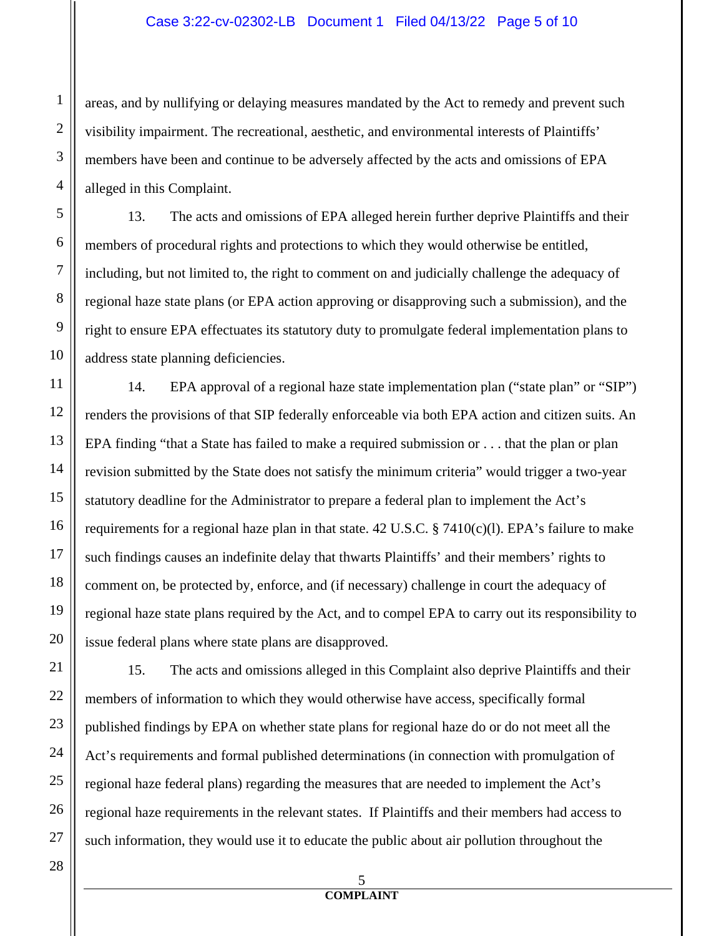#### Case 3:22-cv-02302-LB Document 1 Filed 04/13/22 Page 5 of 10

areas, and by nullifying or delaying measures mandated by the Act to remedy and prevent such visibility impairment. The recreational, aesthetic, and environmental interests of Plaintiffs' members have been and continue to be adversely affected by the acts and omissions of EPA alleged in this Complaint.

13. The acts and omissions of EPA alleged herein further deprive Plaintiffs and their members of procedural rights and protections to which they would otherwise be entitled, including, but not limited to, the right to comment on and judicially challenge the adequacy of regional haze state plans (or EPA action approving or disapproving such a submission), and the right to ensure EPA effectuates its statutory duty to promulgate federal implementation plans to address state planning deficiencies.

14. EPA approval of a regional haze state implementation plan ("state plan" or "SIP") renders the provisions of that SIP federally enforceable via both EPA action and citizen suits. An EPA finding "that a State has failed to make a required submission or . . . that the plan or plan revision submitted by the State does not satisfy the minimum criteria" would trigger a two-year statutory deadline for the Administrator to prepare a federal plan to implement the Act's requirements for a regional haze plan in that state. 42 U.S.C.  $\S$  7410(c)(l). EPA's failure to make such findings causes an indefinite delay that thwarts Plaintiffs' and their members' rights to comment on, be protected by, enforce, and (if necessary) challenge in court the adequacy of regional haze state plans required by the Act, and to compel EPA to carry out its responsibility to issue federal plans where state plans are disapproved.

15. The acts and omissions alleged in this Complaint also deprive Plaintiffs and their members of information to which they would otherwise have access, specifically formal published findings by EPA on whether state plans for regional haze do or do not meet all the Act's requirements and formal published determinations (in connection with promulgation of regional haze federal plans) regarding the measures that are needed to implement the Act's regional haze requirements in the relevant states. If Plaintiffs and their members had access to such information, they would use it to educate the public about air pollution throughout the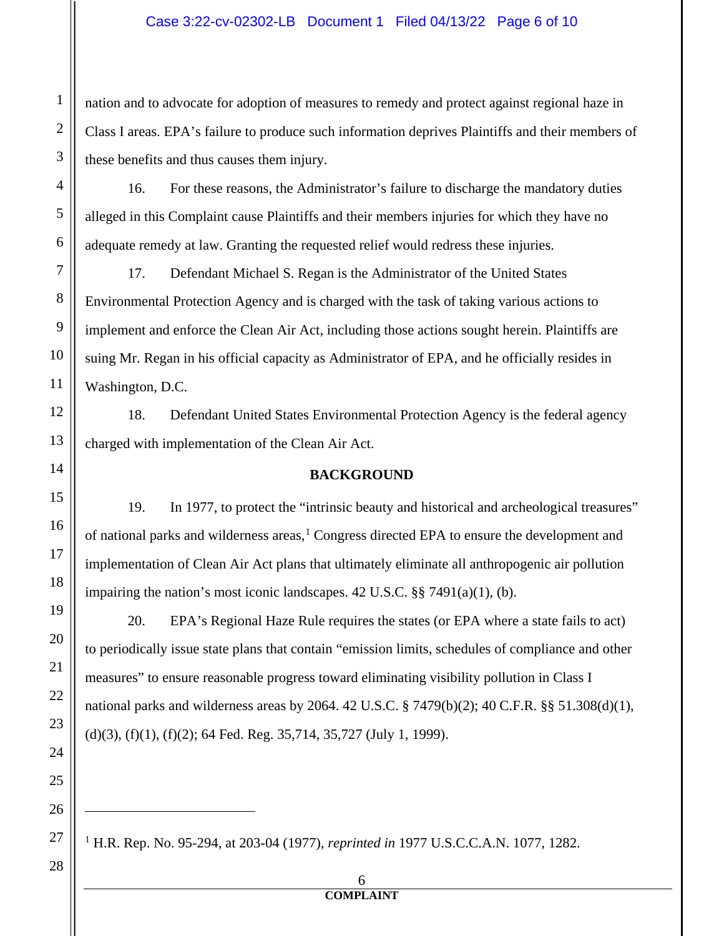#### Case 3:22-cv-02302-LB Document 1 Filed 04/13/22 Page 6 of 10

nation and to advocate for adoption of measures to remedy and protect against regional haze in Class I areas. EPA's failure to produce such information deprives Plaintiffs and their members of these benefits and thus causes them injury.

16. For these reasons, the Administrator's failure to discharge the mandatory duties alleged in this Complaint cause Plaintiffs and their members injuries for which they have no adequate remedy at law. Granting the requested relief would redress these injuries.

17. Defendant Michael S. Regan is the Administrator of the United States Environmental Protection Agency and is charged with the task of taking various actions to implement and enforce the Clean Air Act, including those actions sought herein. Plaintiffs are suing Mr. Regan in his official capacity as Administrator of EPA, and he officially resides in Washington, D.C.

18. Defendant United States Environmental Protection Agency is the federal agency charged with implementation of the Clean Air Act.

#### **BACKGROUND**

19. In 1977, to protect the "intrinsic beauty and historical and archeological treasures" of national parks and wilderness areas,<sup>[1](#page-5-0)</sup> Congress directed EPA to ensure the development and implementation of Clean Air Act plans that ultimately eliminate all anthropogenic air pollution impairing the nation's most iconic landscapes. 42 U.S.C. §§ 7491(a)(1), (b).

20. EPA's Regional Haze Rule requires the states (or EPA where a state fails to act) to periodically issue state plans that contain "emission limits, schedules of compliance and other measures" to ensure reasonable progress toward eliminating visibility pollution in Class I national parks and wilderness areas by 2064. 42 U.S.C. § 7479(b)(2); 40 C.F.R. §§ 51.308(d)(1), (d)(3), (f)(1), (f)(2); 64 Fed. Reg. 35,714, 35,727 (July 1, 1999).

<span id="page-5-0"></span>1 H.R. Rep. No. 95-294, at 203-04 (1977), *reprinted in* 1977 U.S.C.C.A.N. 1077, 1282.

6 **COMPLAINT**

 $\ddot{\phantom{a}}$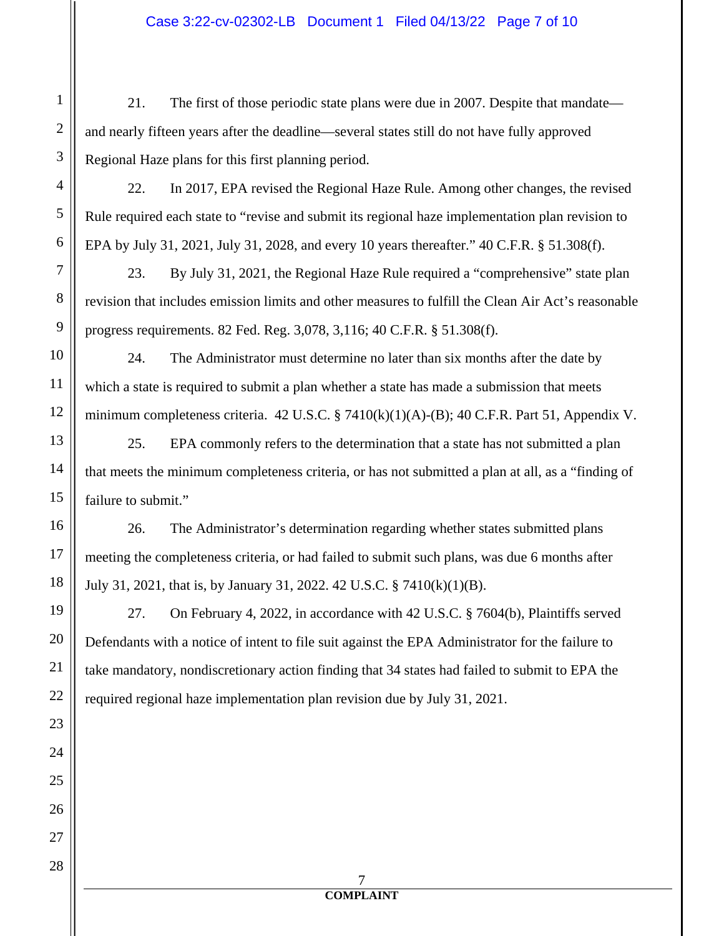## Case 3:22-cv-02302-LB Document 1 Filed 04/13/22 Page 7 of 10

21. The first of those periodic state plans were due in 2007. Despite that mandate and nearly fifteen years after the deadline—several states still do not have fully approved Regional Haze plans for this first planning period.

22. In 2017, EPA revised the Regional Haze Rule. Among other changes, the revised Rule required each state to "revise and submit its regional haze implementation plan revision to EPA by July 31, 2021, July 31, 2028, and every 10 years thereafter." 40 C.F.R. § 51.308(f).

23. By July 31, 2021, the Regional Haze Rule required a "comprehensive" state plan revision that includes emission limits and other measures to fulfill the Clean Air Act's reasonable progress requirements. 82 Fed. Reg. 3,078, 3,116; 40 C.F.R. § 51.308(f).

24. The Administrator must determine no later than six months after the date by which a state is required to submit a plan whether a state has made a submission that meets minimum completeness criteria. 42 U.S.C. § 7410(k)(1)(A)-(B); 40 C.F.R. Part 51, Appendix V.

25. EPA commonly refers to the determination that a state has not submitted a plan that meets the minimum completeness criteria, or has not submitted a plan at all, as a "finding of failure to submit."

26. The Administrator's determination regarding whether states submitted plans meeting the completeness criteria, or had failed to submit such plans, was due 6 months after July 31, 2021, that is, by January 31, 2022. 42 U.S.C. § 7410(k)(1)(B).

27. On February 4, 2022, in accordance with 42 U.S.C. § 7604(b), Plaintiffs served Defendants with a notice of intent to file suit against the EPA Administrator for the failure to take mandatory, nondiscretionary action finding that 34 states had failed to submit to EPA the required regional haze implementation plan revision due by July 31, 2021.

> 7 **COMPLAINT**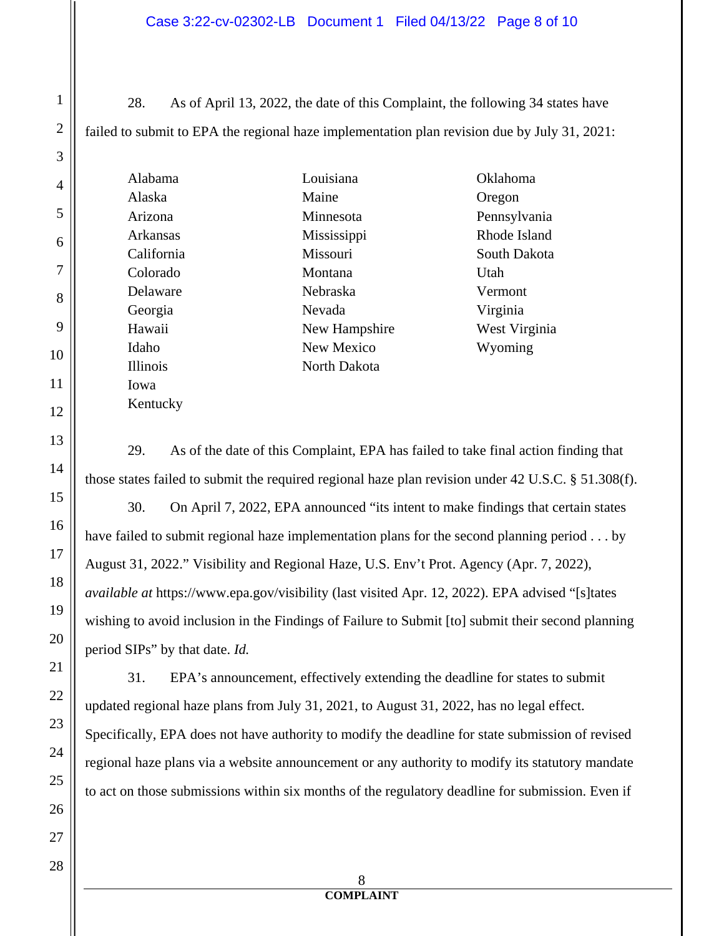#### Case 3:22-cv-02302-LB Document 1 Filed 04/13/22 Page 8 of 10

28. As of April 13, 2022, the date of this Complaint, the following 34 states have failed to submit to EPA the regional haze implementation plan revision due by July 31, 2021:

| Alabama    |
|------------|
| Alaska     |
| Arizona    |
| Arkansas   |
| California |
| Colorado   |
| Delaware   |
| Georgia    |
| Hawaii     |
| Idaho      |
| Illinois   |
| Iowa       |
| Kentucky   |

Louisiana Maine Minnesota Mississippi Missouri Montana Nebraska Nevada New Hampshire New Mexico North Dakota

Oklahoma Oregon Pennsylvania Rhode Island South Dakota Utah Vermont Virginia West Virginia Wyoming

29. As of the date of this Complaint, EPA has failed to take final action finding that those states failed to submit the required regional haze plan revision under 42 U.S.C. § 51.308(f).

30. On April 7, 2022, EPA announced "its intent to make findings that certain states have failed to submit regional haze implementation plans for the second planning period . . . by August 31, 2022." Visibility and Regional Haze, U.S. Env't Prot. Agency (Apr. 7, 2022), *available at* https://www.epa.gov/visibility (last visited Apr. 12, 2022). EPA advised "[s]tates wishing to avoid inclusion in the Findings of Failure to Submit [to] submit their second planning period SIPs" by that date. *Id.* 

31. EPA's announcement, effectively extending the deadline for states to submit updated regional haze plans from July 31, 2021, to August 31, 2022, has no legal effect. Specifically, EPA does not have authority to modify the deadline for state submission of revised regional haze plans via a website announcement or any authority to modify its statutory mandate to act on those submissions within six months of the regulatory deadline for submission. Even if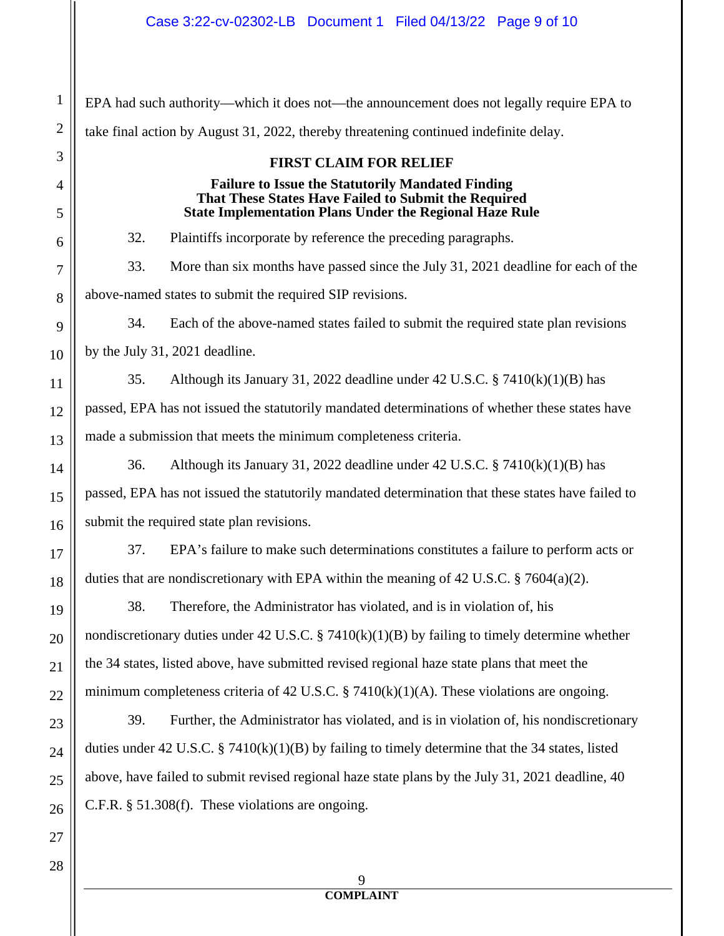1 2 3 4 5 6 7 8 9 10 11 12 13 14 15 16 17 18 19 20 21 22 23 24 25 26 27 EPA had such authority—which it does not—the announcement does not legally require EPA to take final action by August 31, 2022, thereby threatening continued indefinite delay. **FIRST CLAIM FOR RELIEF Failure to Issue the Statutorily Mandated Finding That These States Have Failed to Submit the Required State Implementation Plans Under the Regional Haze Rule** 32. Plaintiffs incorporate by reference the preceding paragraphs. 33. More than six months have passed since the July 31, 2021 deadline for each of the above-named states to submit the required SIP revisions. 34. Each of the above-named states failed to submit the required state plan revisions by the July 31, 2021 deadline. 35. Although its January 31, 2022 deadline under 42 U.S.C. § 7410(k)(1)(B) has passed, EPA has not issued the statutorily mandated determinations of whether these states have made a submission that meets the minimum completeness criteria. 36. Although its January 31, 2022 deadline under 42 U.S.C. § 7410(k)(1)(B) has passed, EPA has not issued the statutorily mandated determination that these states have failed to submit the required state plan revisions. 37. EPA's failure to make such determinations constitutes a failure to perform acts or duties that are nondiscretionary with EPA within the meaning of 42 U.S.C. § 7604(a)(2). 38. Therefore, the Administrator has violated, and is in violation of, his nondiscretionary duties under 42 U.S.C. § 7410(k)(1)(B) by failing to timely determine whether the 34 states, listed above, have submitted revised regional haze state plans that meet the minimum completeness criteria of 42 U.S.C. § 7410(k)(1)(A). These violations are ongoing. 39. Further, the Administrator has violated, and is in violation of, his nondiscretionary duties under 42 U.S.C. § 7410(k)(1)(B) by failing to timely determine that the 34 states, listed above, have failed to submit revised regional haze state plans by the July 31, 2021 deadline, 40 C.F.R. § 51.308(f). These violations are ongoing.